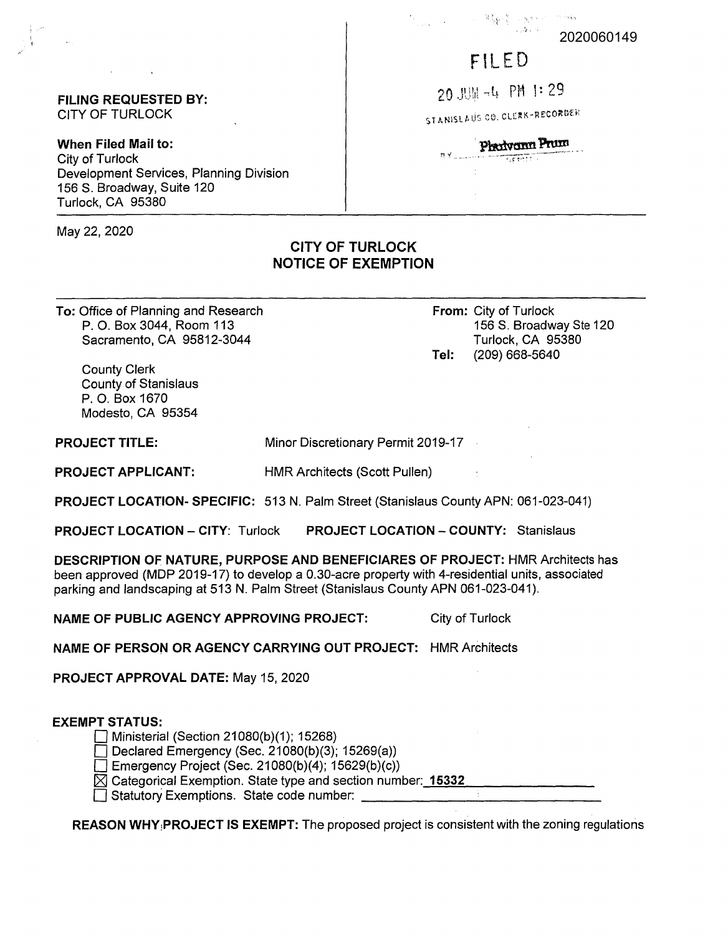#### 2020060149

# FILED

20 JUM -4 PM 1:29

STANISLAUS CO. CLERK-RECORDER

Photyonn Prum **Hypertin** 

#### **FILING REQUESTED BY:**  CITY OF TURLOCK

**When Filed Mail to:**  City of Turlock Development Services, Planning Division 156 S. Broadway, Suite 120 Turlock, CA 95380

May 22, 2020

## **CITY OF TURLOCK NOTICE OF EXEMPTION**

**To:** Office of Planning and Research P. 0. Box 3044, Room 113 Sacramento, CA 95812-3044

**From:** City of Turlock 156 S. Broadway Ste 120 Turlock, CA 95380 **Tel:** (209) 668-5640

County Clerk County of Stanislaus P. 0. Box 1670 Modesto, CA 95354

**PROJECT TITLE:**  Minor Discretionary Permit 2019-17

**PROJECT APPLICANT:** 

**PROJECT LOCATION- SPECIFIC:** 513 N. Palm Street (Stanislaus County APN: 061-023-041)

HMR Architects (Scott Pullen)

**PROJECT LOCATION - CITY:** Turlock **PROJECT LOCATION-COUNTY:** Stanislaus

**DESCRIPTION OF NATURE, PURPOSE AND BENEFICIARES OF PROJECT:** HMR Architects has been approved (MOP 2019-17) to develop a 0.30-acre property with 4-residential units, associated parking and landscaping at 513 N. Palm Street (Stanislaus County APN 061-023-041).

**NAME OF PUBLIC AGENCY APPROVING PROJECT:** City of Turlock

**NAME OF PERSON OR AGENCY CARRYING OUT PROJECT:** HMR Architects

**PROJECT APPROVAL DATE:** May 15, 2020

### **EXEMPT STATUS:**

 $\Box$  Ministerial (Section 21080(b)(1); 15268)

- Declared Emergency (Sec. 21080(b)(3); 15269(a))
- $\Box$  Emergency Project (Sec. 21080(b)(4); 15629(b)(c))
- ∐ Emergency Project (Sec. 21080(b)(4); 15629(b)(c))<br>⊠ Categorical Exemption. State type and section number:<u>\_**15332** \_\_\_\_\_\_\_\_\_\_\_\_</u>\_\_\_\_\_\_\_ <sup>D</sup>Statutory Exemptions. State code number: \_\_\_\_\_\_\_\_\_\_\_\_\_ \_

**REASON WHY1PROJECT IS EXEMPT:** The proposed project is consistent with the zoning regulations